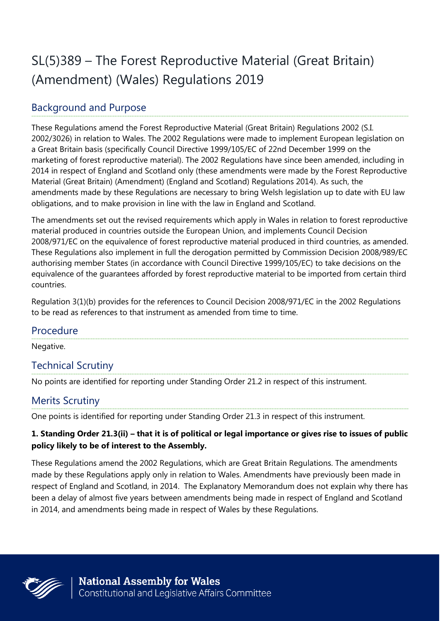# SL(5)389 – The Forest Reproductive Material (Great Britain) (Amendment) (Wales) Regulations 2019

# Background and Purpose

These Regulations amend the Forest Reproductive Material (Great Britain) Regulations 2002 (S.I. 2002/3026) in relation to Wales. The 2002 Regulations were made to implement European legislation on a Great Britain basis (specifically Council Directive 1999/105/EC of 22nd December 1999 on the marketing of forest reproductive material). The 2002 Regulations have since been amended, including in 2014 in respect of England and Scotland only (these amendments were made by the Forest Reproductive Material (Great Britain) (Amendment) (England and Scotland) Regulations 2014). As such, the amendments made by these Regulations are necessary to bring Welsh legislation up to date with EU law obligations, and to make provision in line with the law in England and Scotland.

The amendments set out the revised requirements which apply in Wales in relation to forest reproductive material produced in countries outside the European Union, and implements Council Decision 2008/971/EC on the equivalence of forest reproductive material produced in third countries, as amended. These Regulations also implement in full the derogation permitted by Commission Decision 2008/989/EC authorising member States (in accordance with Council Directive 1999/105/EC) to take decisions on the equivalence of the guarantees afforded by forest reproductive material to be imported from certain third countries.

Regulation 3(1)(b) provides for the references to Council Decision 2008/971/EC in the 2002 Regulations to be read as references to that instrument as amended from time to time.

#### Procedure

Negative.

## Technical Scrutiny

No points are identified for reporting under Standing Order 21.2 in respect of this instrument.

## Merits Scrutiny

One points is identified for reporting under Standing Order 21.3 in respect of this instrument.

#### **1. Standing Order 21.3(ii) – that it is of political or legal importance or gives rise to issues of public policy likely to be of interest to the Assembly.**

These Regulations amend the 2002 Regulations, which are Great Britain Regulations. The amendments made by these Regulations apply only in relation to Wales. Amendments have previously been made in respect of England and Scotland, in 2014. The Explanatory Memorandum does not explain why there has been a delay of almost five years between amendments being made in respect of England and Scotland in 2014, and amendments being made in respect of Wales by these Regulations.